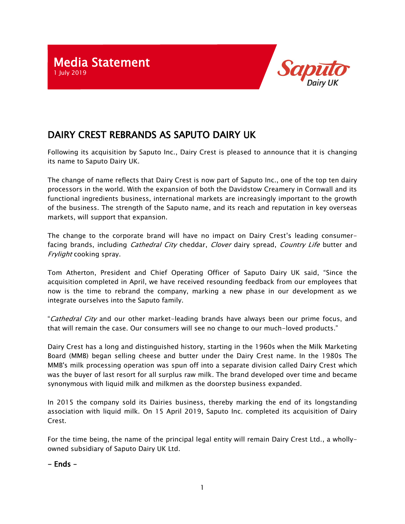

## DAIRY CREST REBRANDS AS SAPUTO DAIRY UK

Following its acquisition by Saputo Inc., Dairy Crest is pleased to announce that it is changing its name to Saputo Dairy UK.

The change of name reflects that Dairy Crest is now part of Saputo Inc., one of the top ten dairy processors in the world. With the expansion of both the Davidstow Creamery in Cornwall and its functional ingredients business, international markets are increasingly important to the growth of the business. The strength of the Saputo name, and its reach and reputation in key overseas markets, will support that expansion.

The change to the corporate brand will have no impact on Dairy Crest's leading consumerfacing brands, including *Cathedral City* cheddar, *Clover* dairy spread, *Country Life* butter and Frylight cooking spray.

Tom Atherton, President and Chief Operating Officer of Saputo Dairy UK said, "Since the acquisition completed in April, we have received resounding feedback from our employees that now is the time to rebrand the company, marking a new phase in our development as we integrate ourselves into the Saputo family.

"Cathedral City and our other market-leading brands have always been our prime focus, and that will remain the case. Our consumers will see no change to our much-loved products."

Dairy Crest has a long and distinguished history, starting in the 1960s when the Milk Marketing Board (MMB) began selling cheese and butter under the Dairy Crest name. In the 1980s The MMB's milk processing operation was spun off into a separate division called Dairy Crest which was the buyer of last resort for all surplus raw milk. The brand developed over time and became synonymous with liquid milk and milkmen as the doorstep business expanded.

In 2015 the company sold its Dairies business, thereby marking the end of its longstanding association with liquid milk. On 15 April 2019, Saputo Inc. completed its acquisition of Dairy Crest.

For the time being, the name of the principal legal entity will remain Dairy Crest Ltd., a whollyowned subsidiary of Saputo Dairy UK Ltd.

- Ends –